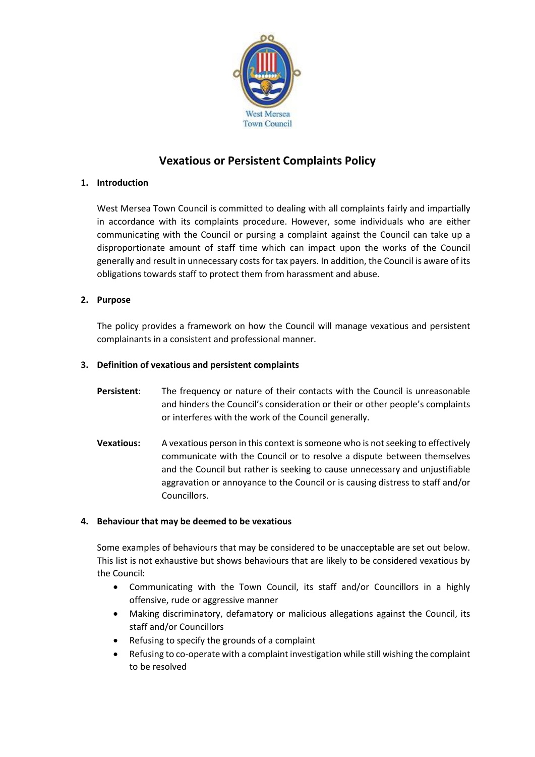

# **Vexatious or Persistent Complaints Policy**

# **1. Introduction**

West Mersea Town Council is committed to dealing with all complaints fairly and impartially in accordance with its complaints procedure. However, some individuals who are either communicating with the Council or pursing a complaint against the Council can take up a disproportionate amount of staff time which can impact upon the works of the Council generally and result in unnecessary costs for tax payers. In addition, the Council is aware of its obligations towards staff to protect them from harassment and abuse.

# **2. Purpose**

The policy provides a framework on how the Council will manage vexatious and persistent complainants in a consistent and professional manner.

# **3. Definition of vexatious and persistent complaints**

- **Persistent**: The frequency or nature of their contacts with the Council is unreasonable and hinders the Council's consideration or their or other people's complaints or interferes with the work of the Council generally.
- **Vexatious:** A vexatious person in this context is someone who is not seeking to effectively communicate with the Council or to resolve a dispute between themselves and the Council but rather is seeking to cause unnecessary and unjustifiable aggravation or annoyance to the Council or is causing distress to staff and/or Councillors.

### **4. Behaviour that may be deemed to be vexatious**

Some examples of behaviours that may be considered to be unacceptable are set out below. This list is not exhaustive but shows behaviours that are likely to be considered vexatious by the Council:

- Communicating with the Town Council, its staff and/or Councillors in a highly offensive, rude or aggressive manner
- Making discriminatory, defamatory or malicious allegations against the Council, its staff and/or Councillors
- Refusing to specify the grounds of a complaint
- Refusing to co-operate with a complaint investigation while still wishing the complaint to be resolved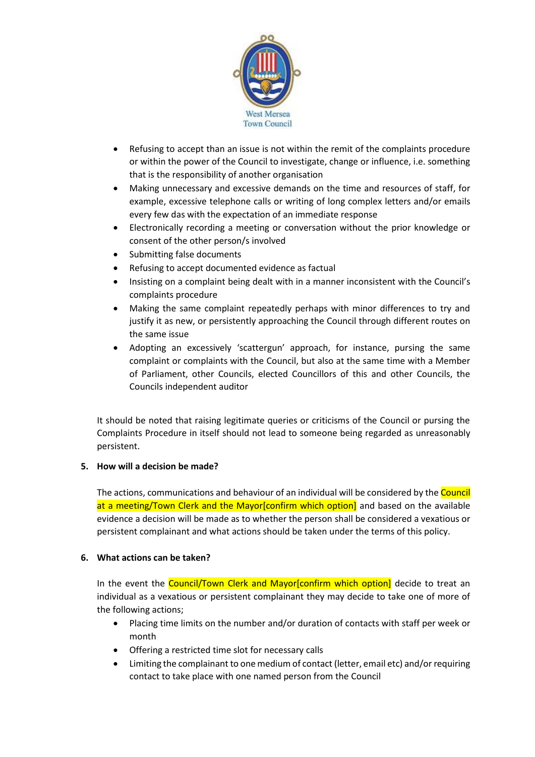

- Refusing to accept than an issue is not within the remit of the complaints procedure or within the power of the Council to investigate, change or influence, i.e. something that is the responsibility of another organisation
- Making unnecessary and excessive demands on the time and resources of staff, for example, excessive telephone calls or writing of long complex letters and/or emails every few das with the expectation of an immediate response
- Electronically recording a meeting or conversation without the prior knowledge or consent of the other person/s involved
- Submitting false documents
- Refusing to accept documented evidence as factual
- Insisting on a complaint being dealt with in a manner inconsistent with the Council's complaints procedure
- Making the same complaint repeatedly perhaps with minor differences to try and justify it as new, or persistently approaching the Council through different routes on the same issue
- Adopting an excessively 'scattergun' approach, for instance, pursing the same complaint or complaints with the Council, but also at the same time with a Member of Parliament, other Councils, elected Councillors of this and other Councils, the Councils independent auditor

It should be noted that raising legitimate queries or criticisms of the Council or pursing the Complaints Procedure in itself should not lead to someone being regarded as unreasonably persistent.

### **5. How will a decision be made?**

The actions, communications and behaviour of an individual will be considered by the Council at a meeting/Town Clerk and the Mayor[confirm which option] and based on the available evidence a decision will be made as to whether the person shall be considered a vexatious or persistent complainant and what actions should be taken under the terms of this policy.

### **6. What actions can be taken?**

In the event the Council/Town Clerk and Mayor[confirm which option] decide to treat an individual as a vexatious or persistent complainant they may decide to take one of more of the following actions;

- Placing time limits on the number and/or duration of contacts with staff per week or month
- Offering a restricted time slot for necessary calls
- Limiting the complainant to one medium of contact (letter, email etc) and/or requiring contact to take place with one named person from the Council